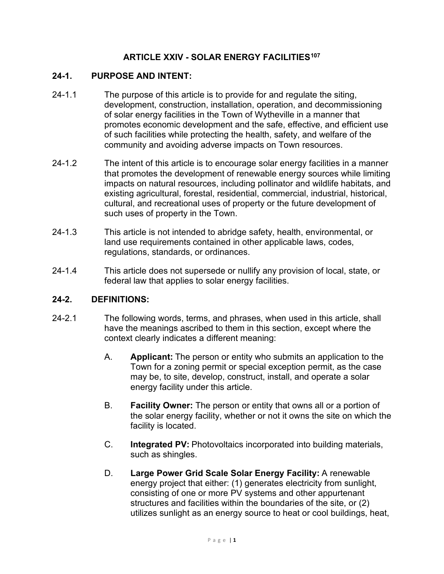# **ARTICLE XXIV - SOLAR ENERGY FACILITIES[107](#page-11-0)**

### **24-1. PURPOSE AND INTENT:**

- 24-1.1 The purpose of this article is to provide for and regulate the siting, development, construction, installation, operation, and decommissioning of solar energy facilities in the Town of Wytheville in a manner that promotes economic development and the safe, effective, and efficient use of such facilities while protecting the health, safety, and welfare of the community and avoiding adverse impacts on Town resources.
- 24-1.2 The intent of this article is to encourage solar energy facilities in a manner that promotes the development of renewable energy sources while limiting impacts on natural resources, including pollinator and wildlife habitats, and existing agricultural, forestal, residential, commercial, industrial, historical, cultural, and recreational uses of property or the future development of such uses of property in the Town.
- 24-1.3 This article is not intended to abridge safety, health, environmental, or land use requirements contained in other applicable laws, codes, regulations, standards, or ordinances.
- 24-1.4 This article does not supersede or nullify any provision of local, state, or federal law that applies to solar energy facilities.

#### **24-2. DEFINITIONS:**

- 24-2.1 The following words, terms, and phrases, when used in this article, shall have the meanings ascribed to them in this section, except where the context clearly indicates a different meaning:
	- A. **Applicant:** The person or entity who submits an application to the Town for a zoning permit or special exception permit, as the case may be, to site, develop, construct, install, and operate a solar energy facility under this article.
	- B. **Facility Owner:** The person or entity that owns all or a portion of the solar energy facility, whether or not it owns the site on which the facility is located.
	- C. **Integrated PV:** Photovoltaics incorporated into building materials, such as shingles.
	- D. **Large Power Grid Scale Solar Energy Facility:** A renewable energy project that either: (1) generates electricity from sunlight, consisting of one or more PV systems and other appurtenant structures and facilities within the boundaries of the site, or (2) utilizes sunlight as an energy source to heat or cool buildings, heat,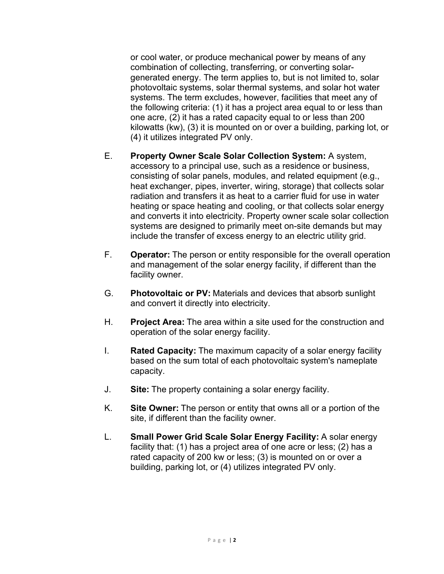or cool water, or produce mechanical power by means of any combination of collecting, transferring, or converting solargenerated energy. The term applies to, but is not limited to, solar photovoltaic systems, solar thermal systems, and solar hot water systems. The term excludes, however, facilities that meet any of the following criteria: (1) it has a project area equal to or less than one acre, (2) it has a rated capacity equal to or less than 200 kilowatts (kw), (3) it is mounted on or over a building, parking lot, or (4) it utilizes integrated PV only.

- E. **Property Owner Scale Solar Collection System:** A system, accessory to a principal use, such as a residence or business, consisting of solar panels, modules, and related equipment (e.g., heat exchanger, pipes, inverter, wiring, storage) that collects solar radiation and transfers it as heat to a carrier fluid for use in water heating or space heating and cooling, or that collects solar energy and converts it into electricity. Property owner scale solar collection systems are designed to primarily meet on-site demands but may include the transfer of excess energy to an electric utility grid.
- F. **Operator:** The person or entity responsible for the overall operation and management of the solar energy facility, if different than the facility owner.
- G. **Photovoltaic or PV:** Materials and devices that absorb sunlight and convert it directly into electricity.
- H. **Project Area:** The area within a site used for the construction and operation of the solar energy facility.
- I. **Rated Capacity:** The maximum capacity of a solar energy facility based on the sum total of each photovoltaic system's nameplate capacity.
- J. **Site:** The property containing a solar energy facility.
- K. **Site Owner:** The person or entity that owns all or a portion of the site, if different than the facility owner.
- L. **Small Power Grid Scale Solar Energy Facility:** A solar energy facility that: (1) has a project area of one acre or less; (2) has a rated capacity of 200 kw or less; (3) is mounted on or over a building, parking lot, or (4) utilizes integrated PV only.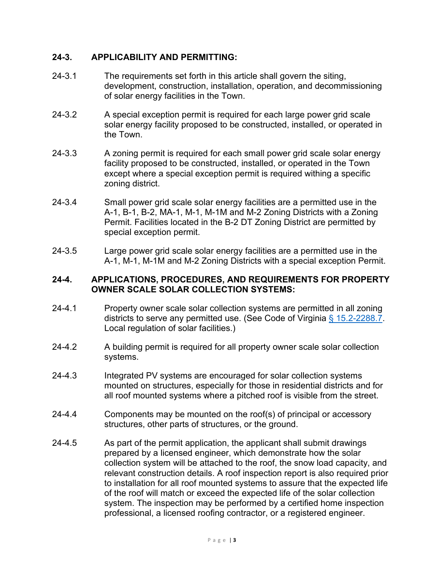### **24-3. APPLICABILITY AND PERMITTING:**

- 24-3.1 The requirements set forth in this article shall govern the siting, development, construction, installation, operation, and decommissioning of solar energy facilities in the Town.
- 24-3.2 A special exception permit is required for each large power grid scale solar energy facility proposed to be constructed, installed, or operated in the Town.
- 24-3.3 A zoning permit is required for each small power grid scale solar energy facility proposed to be constructed, installed, or operated in the Town except where a special exception permit is required withing a specific zoning district.
- 24-3.4 Small power grid scale solar energy facilities are a permitted use in the A-1, B-1, B-2, MA-1, M-1, M-1M and M-2 Zoning Districts with a Zoning Permit. Facilities located in the B-2 DT Zoning District are permitted by special exception permit.
- 24-3.5 Large power grid scale solar energy facilities are a permitted use in the A-1, M-1, M-1M and M-2 Zoning Districts with a special exception Permit.

### **24-4. APPLICATIONS, PROCEDURES, AND REQUIREMENTS FOR PROPERTY OWNER SCALE SOLAR COLLECTION SYSTEMS:**

- 24-4.1 Property owner scale solar collection systems are permitted in all zoning districts to serve any permitted use. (See Code of Virginia  $\S$  15.2-2288.7. Local regulation of solar facilities.)
- 24-4.2 A building permit is required for all property owner scale solar collection systems.
- 24-4.3 Integrated PV systems are encouraged for solar collection systems mounted on structures, especially for those in residential districts and for all roof mounted systems where a pitched roof is visible from the street.
- 24-4.4 Components may be mounted on the roof(s) of principal or accessory structures, other parts of structures, or the ground.
- 24-4.5 As part of the permit application, the applicant shall submit drawings prepared by a licensed engineer, which demonstrate how the solar collection system will be attached to the roof, the snow load capacity, and relevant construction details. A roof inspection report is also required prior to installation for all roof mounted systems to assure that the expected life of the roof will match or exceed the expected life of the solar collection system. The inspection may be performed by a certified home inspection professional, a licensed roofing contractor, or a registered engineer.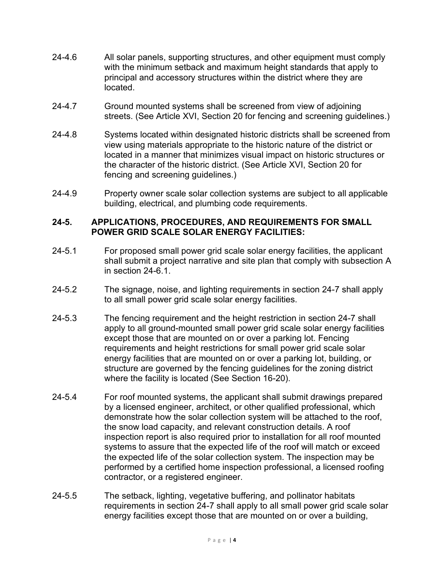- 24-4.6 All solar panels, supporting structures, and other equipment must comply with the minimum setback and maximum height standards that apply to principal and accessory structures within the district where they are located.
- 24-4.7 Ground mounted systems shall be screened from view of adjoining streets. (See Article XVI, Section 20 for fencing and screening guidelines.)
- 24-4.8 Systems located within designated historic districts shall be screened from view using materials appropriate to the historic nature of the district or located in a manner that minimizes visual impact on historic structures or the character of the historic district. (See Article XVI, Section 20 for fencing and screening guidelines.)
- 24-4.9 Property owner scale solar collection systems are subject to all applicable building, electrical, and plumbing code requirements.

### **24-5. APPLICATIONS, PROCEDURES, AND REQUIREMENTS FOR SMALL POWER GRID SCALE SOLAR ENERGY FACILITIES:**

- 24-5.1 For proposed small power grid scale solar energy facilities, the applicant shall submit a project narrative and site plan that comply with subsection A in section 24-6.1.
- 24-5.2 The signage, noise, and lighting requirements in section 24-7 shall apply to all small power grid scale solar energy facilities.
- 24-5.3 The fencing requirement and the height restriction in section 24-7 shall apply to all ground-mounted small power grid scale solar energy facilities except those that are mounted on or over a parking lot. Fencing requirements and height restrictions for small power grid scale solar energy facilities that are mounted on or over a parking lot, building, or structure are governed by the fencing guidelines for the zoning district where the facility is located (See Section 16-20).
- 24-5.4 For roof mounted systems, the applicant shall submit drawings prepared by a licensed engineer, architect, or other qualified professional, which demonstrate how the solar collection system will be attached to the roof, the snow load capacity, and relevant construction details. A roof inspection report is also required prior to installation for all roof mounted systems to assure that the expected life of the roof will match or exceed the expected life of the solar collection system. The inspection may be performed by a certified home inspection professional, a licensed roofing contractor, or a registered engineer.
- 24-5.5 The setback, lighting, vegetative buffering, and pollinator habitats requirements in section 24-7 shall apply to all small power grid scale solar energy facilities except those that are mounted on or over a building,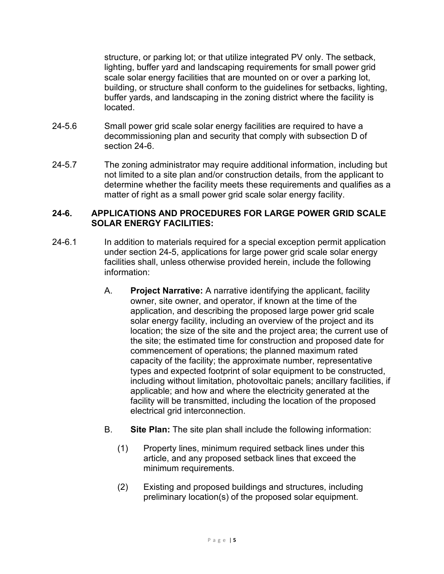structure, or parking lot; or that utilize integrated PV only. The setback, lighting, buffer yard and landscaping requirements for small power grid scale solar energy facilities that are mounted on or over a parking lot, building, or structure shall conform to the guidelines for setbacks, lighting, buffer yards, and landscaping in the zoning district where the facility is located.

- 24-5.6 Small power grid scale solar energy facilities are required to have a decommissioning plan and security that comply with subsection D of section 24-6.
- 24-5.7 The zoning administrator may require additional information, including but not limited to a site plan and/or construction details, from the applicant to determine whether the facility meets these requirements and qualifies as a matter of right as a small power grid scale solar energy facility.

# **24-6. APPLICATIONS AND PROCEDURES FOR LARGE POWER GRID SCALE SOLAR ENERGY FACILITIES:**

- 24-6.1 In addition to materials required for a special exception permit application under section 24-5, applications for large power grid scale solar energy facilities shall, unless otherwise provided herein, include the following information:
	- A. **Project Narrative:** A narrative identifying the applicant, facility owner, site owner, and operator, if known at the time of the application, and describing the proposed large power grid scale solar energy facility, including an overview of the project and its location; the size of the site and the project area; the current use of the site; the estimated time for construction and proposed date for commencement of operations; the planned maximum rated capacity of the facility; the approximate number, representative types and expected footprint of solar equipment to be constructed, including without limitation, photovoltaic panels; ancillary facilities, if applicable; and how and where the electricity generated at the facility will be transmitted, including the location of the proposed electrical grid interconnection.
	- B. **Site Plan:** The site plan shall include the following information:
		- (1) Property lines, minimum required setback lines under this article, and any proposed setback lines that exceed the minimum requirements.
		- (2) Existing and proposed buildings and structures, including preliminary location(s) of the proposed solar equipment.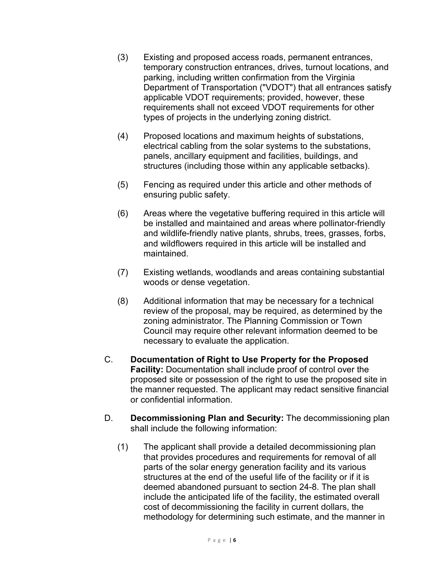- (3) Existing and proposed access roads, permanent entrances, temporary construction entrances, drives, turnout locations, and parking, including written confirmation from the Virginia Department of Transportation ("VDOT") that all entrances satisfy applicable VDOT requirements; provided, however, these requirements shall not exceed VDOT requirements for other types of projects in the underlying zoning district.
- (4) Proposed locations and maximum heights of substations, electrical cabling from the solar systems to the substations, panels, ancillary equipment and facilities, buildings, and structures (including those within any applicable setbacks).
- (5) Fencing as required under this article and other methods of ensuring public safety.
- (6) Areas where the vegetative buffering required in this article will be installed and maintained and areas where pollinator-friendly and wildlife-friendly native plants, shrubs, trees, grasses, forbs, and wildflowers required in this article will be installed and maintained.
- (7) Existing wetlands, woodlands and areas containing substantial woods or dense vegetation.
- (8) Additional information that may be necessary for a technical review of the proposal, may be required, as determined by the zoning administrator. The Planning Commission or Town Council may require other relevant information deemed to be necessary to evaluate the application.
- C. **Documentation of Right to Use Property for the Proposed Facility:** Documentation shall include proof of control over the proposed site or possession of the right to use the proposed site in the manner requested. The applicant may redact sensitive financial or confidential information.
- D. **Decommissioning Plan and Security:** The decommissioning plan shall include the following information:
	- (1) The applicant shall provide a detailed decommissioning plan that provides procedures and requirements for removal of all parts of the solar energy generation facility and its various structures at the end of the useful life of the facility or if it is deemed abandoned pursuant to section 24-8. The plan shall include the anticipated life of the facility, the estimated overall cost of decommissioning the facility in current dollars, the methodology for determining such estimate, and the manner in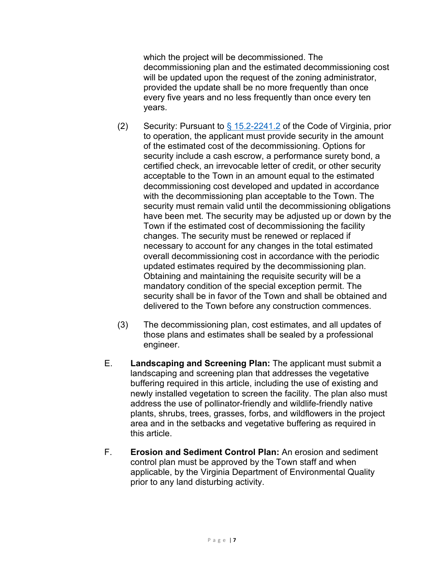which the project will be decommissioned. The decommissioning plan and the estimated decommissioning cost will be updated upon the request of the zoning administrator, provided the update shall be no more frequently than once every five years and no less frequently than once every ten years.

- (2) Security: Pursuant to  $\frac{6}{5}$  15.2-2241.2 of the Code of Virginia, prior to operation, the applicant must provide security in the amount of the estimated cost of the decommissioning. Options for security include a cash escrow, a performance surety bond, a certified check, an irrevocable letter of credit, or other security acceptable to the Town in an amount equal to the estimated decommissioning cost developed and updated in accordance with the decommissioning plan acceptable to the Town. The security must remain valid until the decommissioning obligations have been met. The security may be adjusted up or down by the Town if the estimated cost of decommissioning the facility changes. The security must be renewed or replaced if necessary to account for any changes in the total estimated overall decommissioning cost in accordance with the periodic updated estimates required by the decommissioning plan. Obtaining and maintaining the requisite security will be a mandatory condition of the special exception permit. The security shall be in favor of the Town and shall be obtained and delivered to the Town before any construction commences.
- (3) The decommissioning plan, cost estimates, and all updates of those plans and estimates shall be sealed by a professional engineer.
- E. **Landscaping and Screening Plan:** The applicant must submit a landscaping and screening plan that addresses the vegetative buffering required in this article, including the use of existing and newly installed vegetation to screen the facility. The plan also must address the use of pollinator-friendly and wildlife-friendly native plants, shrubs, trees, grasses, forbs, and wildflowers in the project area and in the setbacks and vegetative buffering as required in this article.
- F. **Erosion and Sediment Control Plan:** An erosion and sediment control plan must be approved by the Town staff and when applicable, by the Virginia Department of Environmental Quality prior to any land disturbing activity.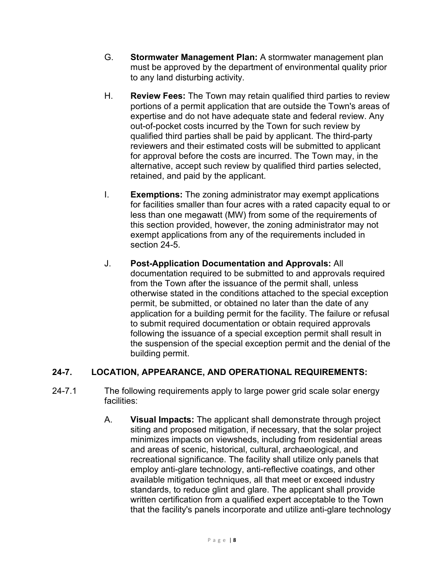- G. **Stormwater Management Plan:** A stormwater management plan must be approved by the department of environmental quality prior to any land disturbing activity.
- H. **Review Fees:** The Town may retain qualified third parties to review portions of a permit application that are outside the Town's areas of expertise and do not have adequate state and federal review. Any out-of-pocket costs incurred by the Town for such review by qualified third parties shall be paid by applicant. The third-party reviewers and their estimated costs will be submitted to applicant for approval before the costs are incurred. The Town may, in the alternative, accept such review by qualified third parties selected, retained, and paid by the applicant.
- I. **Exemptions:** The zoning administrator may exempt applications for facilities smaller than four acres with a rated capacity equal to or less than one megawatt (MW) from some of the requirements of this section provided, however, the zoning administrator may not exempt applications from any of the requirements included in section 24-5.
- J. **Post-Application Documentation and Approvals:** All documentation required to be submitted to and approvals required from the Town after the issuance of the permit shall, unless otherwise stated in the conditions attached to the special exception permit, be submitted, or obtained no later than the date of any application for a building permit for the facility. The failure or refusal to submit required documentation or obtain required approvals following the issuance of a special exception permit shall result in the suspension of the special exception permit and the denial of the building permit.

# **24-7. LOCATION, APPEARANCE, AND OPERATIONAL REQUIREMENTS:**

- 24-7.1 The following requirements apply to large power grid scale solar energy facilities:
	- A. **Visual Impacts:** The applicant shall demonstrate through project siting and proposed mitigation, if necessary, that the solar project minimizes impacts on viewsheds, including from residential areas and areas of scenic, historical, cultural, archaeological, and recreational significance. The facility shall utilize only panels that employ anti-glare technology, anti-reflective coatings, and other available mitigation techniques, all that meet or exceed industry standards, to reduce glint and glare. The applicant shall provide written certification from a qualified expert acceptable to the Town that the facility's panels incorporate and utilize anti-glare technology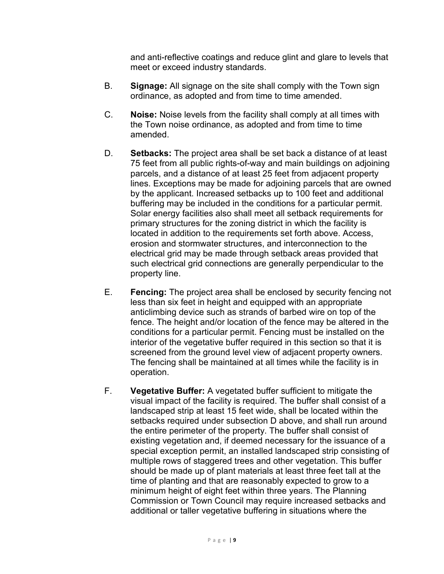and anti-reflective coatings and reduce glint and glare to levels that meet or exceed industry standards.

- B. **Signage:** All signage on the site shall comply with the Town sign ordinance, as adopted and from time to time amended.
- C. **Noise:** Noise levels from the facility shall comply at all times with the Town noise ordinance, as adopted and from time to time amended.
- D. **Setbacks:** The project area shall be set back a distance of at least 75 feet from all public rights-of-way and main buildings on adjoining parcels, and a distance of at least 25 feet from adjacent property lines. Exceptions may be made for adjoining parcels that are owned by the applicant. Increased setbacks up to 100 feet and additional buffering may be included in the conditions for a particular permit. Solar energy facilities also shall meet all setback requirements for primary structures for the zoning district in which the facility is located in addition to the requirements set forth above. Access, erosion and stormwater structures, and interconnection to the electrical grid may be made through setback areas provided that such electrical grid connections are generally perpendicular to the property line.
- E. **Fencing:** The project area shall be enclosed by security fencing not less than six feet in height and equipped with an appropriate anticlimbing device such as strands of barbed wire on top of the fence. The height and/or location of the fence may be altered in the conditions for a particular permit. Fencing must be installed on the interior of the vegetative buffer required in this section so that it is screened from the ground level view of adjacent property owners. The fencing shall be maintained at all times while the facility is in operation.
- F. **Vegetative Buffer:** A vegetated buffer sufficient to mitigate the visual impact of the facility is required. The buffer shall consist of a landscaped strip at least 15 feet wide, shall be located within the setbacks required under subsection D above, and shall run around the entire perimeter of the property. The buffer shall consist of existing vegetation and, if deemed necessary for the issuance of a special exception permit, an installed landscaped strip consisting of multiple rows of staggered trees and other vegetation. This buffer should be made up of plant materials at least three feet tall at the time of planting and that are reasonably expected to grow to a minimum height of eight feet within three years. The Planning Commission or Town Council may require increased setbacks and additional or taller vegetative buffering in situations where the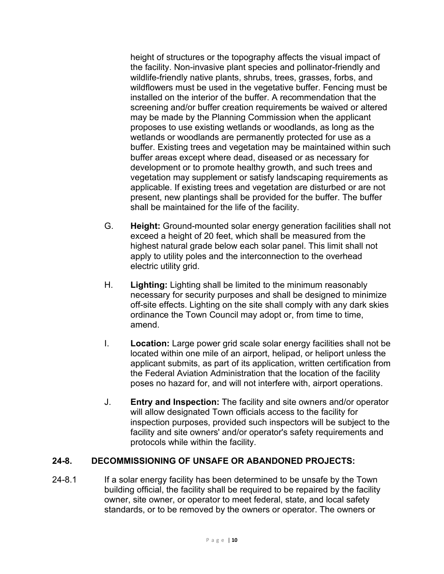height of structures or the topography affects the visual impact of the facility. Non-invasive plant species and pollinator-friendly and wildlife-friendly native plants, shrubs, trees, grasses, forbs, and wildflowers must be used in the vegetative buffer. Fencing must be installed on the interior of the buffer. A recommendation that the screening and/or buffer creation requirements be waived or altered may be made by the Planning Commission when the applicant proposes to use existing wetlands or woodlands, as long as the wetlands or woodlands are permanently protected for use as a buffer. Existing trees and vegetation may be maintained within such buffer areas except where dead, diseased or as necessary for development or to promote healthy growth, and such trees and vegetation may supplement or satisfy landscaping requirements as applicable. If existing trees and vegetation are disturbed or are not present, new plantings shall be provided for the buffer. The buffer shall be maintained for the life of the facility.

- G. **Height:** Ground-mounted solar energy generation facilities shall not exceed a height of 20 feet, which shall be measured from the highest natural grade below each solar panel. This limit shall not apply to utility poles and the interconnection to the overhead electric utility grid.
- H. **Lighting:** Lighting shall be limited to the minimum reasonably necessary for security purposes and shall be designed to minimize off-site effects. Lighting on the site shall comply with any dark skies ordinance the Town Council may adopt or, from time to time, amend.
- I. **Location:** Large power grid scale solar energy facilities shall not be located within one mile of an airport, helipad, or heliport unless the applicant submits, as part of its application, written certification from the Federal Aviation Administration that the location of the facility poses no hazard for, and will not interfere with, airport operations.
- J. **Entry and Inspection:** The facility and site owners and/or operator will allow designated Town officials access to the facility for inspection purposes, provided such inspectors will be subject to the facility and site owners' and/or operator's safety requirements and protocols while within the facility.

### **24-8. DECOMMISSIONING OF UNSAFE OR ABANDONED PROJECTS:**

24-8.1 If a solar energy facility has been determined to be unsafe by the Town building official, the facility shall be required to be repaired by the facility owner, site owner, or operator to meet federal, state, and local safety standards, or to be removed by the owners or operator. The owners or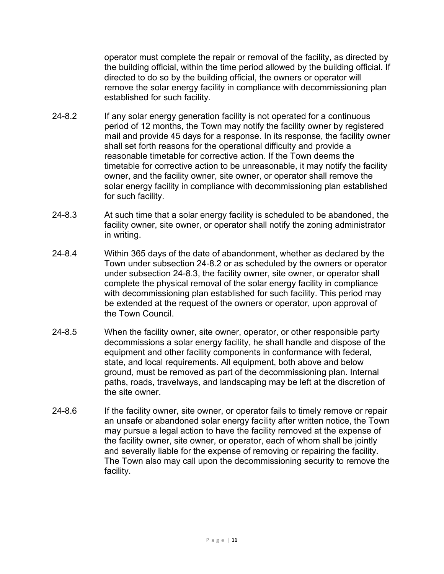operator must complete the repair or removal of the facility, as directed by the building official, within the time period allowed by the building official. If directed to do so by the building official, the owners or operator will remove the solar energy facility in compliance with decommissioning plan established for such facility.

- 24-8.2 If any solar energy generation facility is not operated for a continuous period of 12 months, the Town may notify the facility owner by registered mail and provide 45 days for a response. In its response, the facility owner shall set forth reasons for the operational difficulty and provide a reasonable timetable for corrective action. If the Town deems the timetable for corrective action to be unreasonable, it may notify the facility owner, and the facility owner, site owner, or operator shall remove the solar energy facility in compliance with decommissioning plan established for such facility.
- 24-8.3 At such time that a solar energy facility is scheduled to be abandoned, the facility owner, site owner, or operator shall notify the zoning administrator in writing.
- 24-8.4 Within 365 days of the date of abandonment, whether as declared by the Town under subsection 24-8.2 or as scheduled by the owners or operator under subsection 24-8.3, the facility owner, site owner, or operator shall complete the physical removal of the solar energy facility in compliance with decommissioning plan established for such facility. This period may be extended at the request of the owners or operator, upon approval of the Town Council.
- 24-8.5 When the facility owner, site owner, operator, or other responsible party decommissions a solar energy facility, he shall handle and dispose of the equipment and other facility components in conformance with federal, state, and local requirements. All equipment, both above and below ground, must be removed as part of the decommissioning plan. Internal paths, roads, travelways, and landscaping may be left at the discretion of the site owner.
- 24-8.6 If the facility owner, site owner, or operator fails to timely remove or repair an unsafe or abandoned solar energy facility after written notice, the Town may pursue a legal action to have the facility removed at the expense of the facility owner, site owner, or operator, each of whom shall be jointly and severally liable for the expense of removing or repairing the facility. The Town also may call upon the decommissioning security to remove the facility.